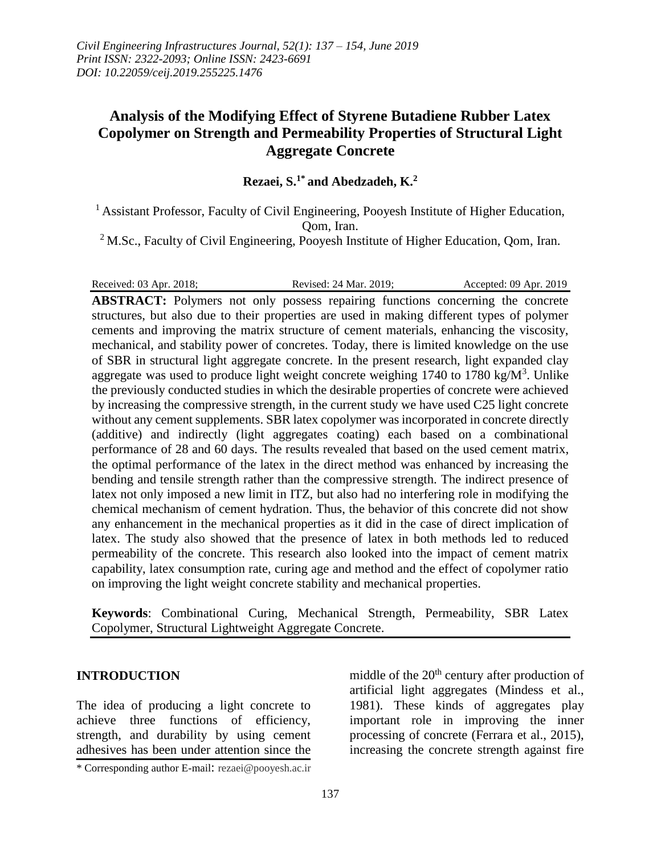# **Analysis of the Modifying Effect of Styrene Butadiene Rubber Latex Copolymer on Strength and Permeability Properties of Structural Light Aggregate Concrete**

**Rezaei, S. 1\* and Abedzadeh, K. 2**

<sup>1</sup> Assistant Professor, Faculty of Civil Engineering, Pooyesh Institute of Higher Education, Qom, Iran.

<sup>2</sup> M.Sc., Faculty of Civil Engineering, Pooyesh Institute of Higher Education, Qom, Iran.

Received: 03 Apr. 2018; Revised: 24 Mar. 2019; Accepted: 09 Apr. 2019

**ABSTRACT:** Polymers not only possess repairing functions concerning the concrete structures, but also due to their properties are used in making different types of polymer cements and improving the matrix structure of cement materials, enhancing the viscosity, mechanical, and stability power of concretes. Today, there is limited knowledge on the use of SBR in structural light aggregate concrete. In the present research, light expanded clay aggregate was used to produce light weight concrete weighing  $1740$  to  $1780 \text{ kg/M}^3$ . Unlike the previously conducted studies in which the desirable properties of concrete were achieved by increasing the compressive strength, in the current study we have used C25 light concrete without any cement supplements. SBR latex copolymer was incorporated in concrete directly (additive) and indirectly (light aggregates coating) each based on a combinational performance of 28 and 60 days. The results revealed that based on the used cement matrix, the optimal performance of the latex in the direct method was enhanced by increasing the bending and tensile strength rather than the compressive strength. The indirect presence of latex not only imposed a new limit in ITZ, but also had no interfering role in modifying the chemical mechanism of cement hydration. Thus, the behavior of this concrete did not show any enhancement in the mechanical properties as it did in the case of direct implication of latex. The study also showed that the presence of latex in both methods led to reduced permeability of the concrete. This research also looked into the impact of cement matrix capability, latex consumption rate, curing age and method and the effect of copolymer ratio on improving the light weight concrete stability and mechanical properties.

**Keywords**: Combinational Curing, Mechanical Strength, Permeability, SBR Latex Copolymer, Structural Lightweight Aggregate Concrete.

# **INTRODUCTION**

The idea of producing a light concrete to achieve three functions of efficiency, strength, and durability by using cement adhesives has been under attention since the

middle of the  $20<sup>th</sup>$  century after production of artificial light aggregates (Mindess et al., 1981). These kinds of aggregates play important role in improving the inner processing of concrete (Ferrara et al., 2015), increasing the concrete strength against fire

<sup>\*</sup> Corresponding author E-mail: rezaei@pooyesh.ac.ir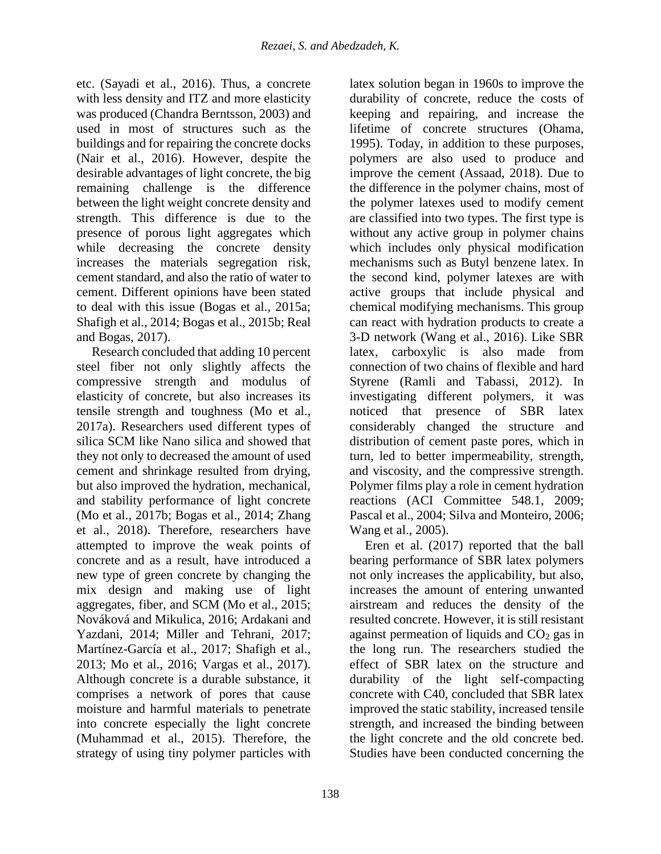etc. (Sayadi et al., 2016). Thus, a concrete with less density and ITZ and more elasticity was produced (Chandra Berntsson, 2003) and used in most of structures such as the buildings and for repairing the concrete docks (Nair et al., 2016). However, despite the desirable advantages of light concrete, the big remaining challenge is the difference between the light weight concrete density and strength. This difference is due to the presence of porous light aggregates which while decreasing the concrete density increases the materials segregation risk, cement standard, and also the ratio of water to cement. Different opinions have been stated to deal with this issue (Bogas et al., 2015a; Shafigh et al., 2014; Bogas et al., 2015b; Real and Bogas, 2017).

Research concluded that adding 10 percent steel fiber not only slightly affects the compressive strength and modulus of elasticity of concrete, but also increases its tensile strength and toughness (Mo et al., 2017a). Researchers used different types of silica SCM like Nano silica and showed that they not only to decreased the amount of used cement and shrinkage resulted from drying, but also improved the hydration, mechanical, and stability performance of light concrete (Mo et al., 2017b; Bogas et al., 2014; Zhang et al., 2018). Therefore, researchers have attempted to improve the weak points of concrete and as a result, have introduced a new type of green concrete by changing the mix design and making use of light aggregates, fiber, and SCM (Mo et al., 2015; Nováková and Mikulica, 2016; Ardakani and Yazdani, 2014; Miller and Tehrani, 2017; Martínez-García et al., 2017; Shafigh et al., 2013; Mo et al., 2016; Vargas et al., 2017). Although concrete is a durable substance, it comprises a network of pores that cause moisture and harmful materials to penetrate into concrete especially the light concrete (Muhammad et al., 2015). Therefore, the strategy of using tiny polymer particles with

138

latex solution began in 1960s to improve the durability of concrete, reduce the costs of keeping and repairing, and increase the lifetime of concrete structures (Ohama, 1995). Today, in addition to these purposes, polymers are also used to produce and improve the cement (Assaad, 2018). Due to the difference in the polymer chains, most of the polymer latexes used to modify cement are classified into two types. The first type is without any active group in polymer chains which includes only physical modification mechanisms such as Butyl benzene latex. In the second kind, polymer latexes are with active groups that include physical and chemical modifying mechanisms. This group can react with hydration products to create a 3-D network (Wang et al., 2016). Like SBR latex, carboxylic is also made from connection of two chains of flexible and hard Styrene (Ramli and Tabassi, 2012). In investigating different polymers, it was noticed that presence of SBR latex considerably changed the structure and distribution of cement paste pores, which in turn, led to better impermeability, strength, and viscosity, and the compressive strength. Polymer films play a role in cement hydration reactions (ACI Committee 548.1, 2009; Pascal et al., 2004; Silva and Monteiro, 2006; Wang et al., 2005).

Eren et al. (2017) reported that the ball bearing performance of SBR latex polymers not only increases the applicability, but also, increases the amount of entering unwanted airstream and reduces the density of the resulted concrete. However, it is still resistant against permeation of liquids and  $CO<sub>2</sub>$  gas in the long run. The researchers studied the effect of SBR latex on the structure and durability of the light self-compacting concrete with C40, concluded that SBR latex improved the static stability, increased tensile strength, and increased the binding between the light concrete and the old concrete bed. Studies have been conducted concerning the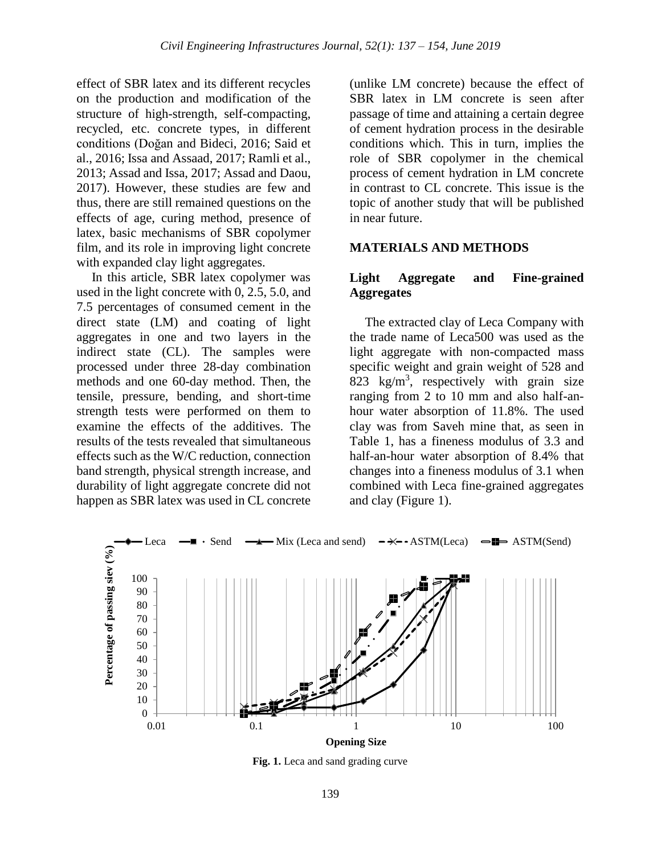effect of SBR latex and its different recycles on the production and modification of the structure of high-strength, self-compacting, recycled, etc. concrete types, in different conditions (Doğan and Bideci, 2016; Said et al., 2016; Issa and Assaad, 2017; Ramli et al., 2013; Assad and Issa, 2017; Assad and Daou, 2017). However, these studies are few and thus, there are still remained questions on the effects of age, curing method, presence of latex, basic mechanisms of SBR copolymer film, and its role in improving light concrete with expanded clay light aggregates.

In this article, SBR latex copolymer was used in the light concrete with 0, 2.5, 5.0, and 7.5 percentages of consumed cement in the direct state (LM) and coating of light aggregates in one and two layers in the indirect state (CL). The samples were processed under three 28-day combination methods and one 60-day method. Then, the tensile, pressure, bending, and short-time strength tests were performed on them to examine the effects of the additives. The results of the tests revealed that simultaneous effects such as the W/C reduction, connection band strength, physical strength increase, and durability of light aggregate concrete did not happen as SBR latex was used in CL concrete

(unlike LM concrete) because the effect of SBR latex in LM concrete is seen after passage of time and attaining a certain degree of cement hydration process in the desirable conditions which. This in turn, implies the role of SBR copolymer in the chemical process of cement hydration in LM concrete in contrast to CL concrete. This issue is the topic of another study that will be published in near future.

## **MATERIALS AND METHODS**

## **Light Aggregate and Fine-grained Aggregates**

The extracted clay of Leca Company with the trade name of Leca500 was used as the light aggregate with non-compacted mass specific weight and grain weight of 528 and 823 kg/m<sup>3</sup>, respectively with grain size ranging from 2 to 10 mm and also half-anhour water absorption of 11.8%. The used clay was from Saveh mine that, as seen in Table 1, has a fineness modulus of 3.3 and half-an-hour water absorption of 8.4% that changes into a fineness modulus of 3.1 when combined with Leca fine-grained aggregates and clay (Figure 1).



Fig. 1. Leca and sand grading curve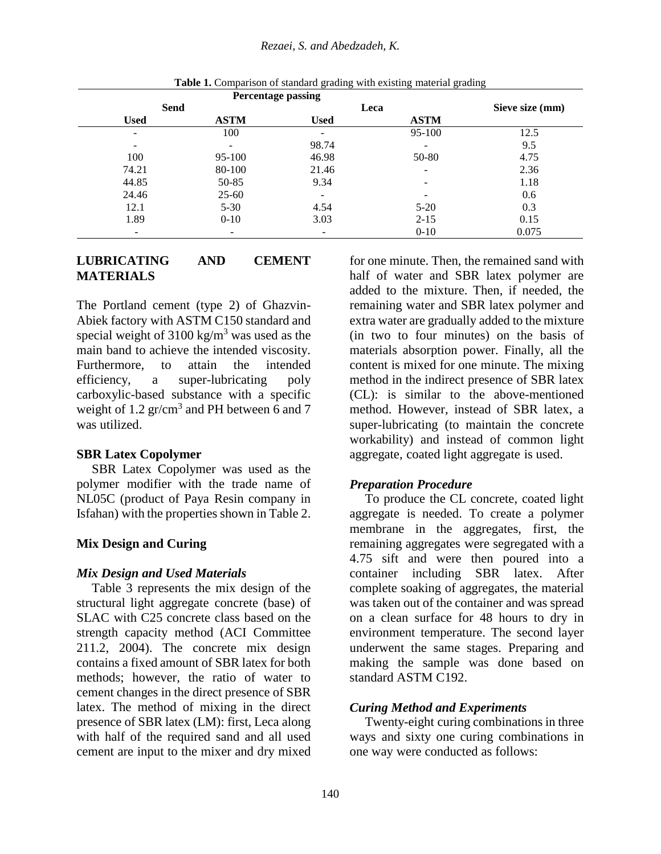|                          |             | <b>Percentage passing</b> |             |       |  |
|--------------------------|-------------|---------------------------|-------------|-------|--|
| Send                     |             |                           | Leca        |       |  |
| <b>Used</b>              | <b>ASTM</b> | <b>Used</b>               | <b>ASTM</b> |       |  |
| $\overline{\phantom{a}}$ | 100         | $\overline{\phantom{a}}$  | 95-100      | 12.5  |  |
| -                        |             | 98.74                     |             | 9.5   |  |
| 100                      | 95-100      | 46.98                     | 50-80       | 4.75  |  |
| 74.21                    | 80-100      | 21.46                     | ۰           | 2.36  |  |
| 44.85                    | 50-85       | 9.34                      | ۰           | 1.18  |  |
| 24.46                    | $25 - 60$   | $\overline{\phantom{a}}$  |             | 0.6   |  |
| 12.1                     | $5 - 30$    | 4.54                      | $5 - 20$    | 0.3   |  |
| 1.89                     | $0 - 10$    | 3.03                      | $2 - 15$    | 0.15  |  |
|                          | -           | -                         | $0-10$      | 0.075 |  |

Table 1. Comparison of standard grading with existing material grading

# **LUBRICATING AND CEMENT MATERIALS**

The Portland cement (type 2) of Ghazvin-Abiek factory with ASTM C150 standard and special weight of  $3100 \text{ kg/m}^3$  was used as the main band to achieve the intended viscosity. Furthermore, to attain the intended efficiency, a super-lubricating poly carboxylic-based substance with a specific weight of  $1.2$  gr/cm<sup>3</sup> and PH between 6 and 7 was utilized.

## **SBR Latex Copolymer**

SBR Latex Copolymer was used as the polymer modifier with the trade name of NL05C (product of Paya Resin company in Isfahan) with the properties shown in Table 2.

#### **Mix Design and Curing**

#### *Mix Design and Used Materials*

Table 3 represents the mix design of the structural light aggregate concrete (base) of SLAC with C25 concrete class based on the strength capacity method (ACI Committee 211.2, 2004). The concrete mix design contains a fixed amount of SBR latex for both methods; however, the ratio of water to cement changes in the direct presence of SBR latex. The method of mixing in the direct presence of SBR latex (LM): first, Leca along with half of the required sand and all used cement are input to the mixer and dry mixed

for one minute. Then, the remained sand with half of water and SBR latex polymer are added to the mixture. Then, if needed, the remaining water and SBR latex polymer and extra water are gradually added to the mixture (in two to four minutes) on the basis of materials absorption power. Finally, all the content is mixed for one minute. The mixing method in the indirect presence of SBR latex (CL): is similar to the above-mentioned method. However, instead of SBR latex, a super-lubricating (to maintain the concrete workability) and instead of common light aggregate, coated light aggregate is used.

### *Preparation Procedure*

To produce the CL concrete, coated light aggregate is needed. To create a polymer membrane in the aggregates, first, the remaining aggregates were segregated with a 4.75 sift and were then poured into a container including SBR latex. After complete soaking of aggregates, the material was taken out of the container and was spread on a clean surface for 48 hours to dry in environment temperature. The second layer underwent the same stages. Preparing and making the sample was done based on standard ASTM C192.

## *Curing Method and Experiments*

Twenty-eight curing combinations in three ways and sixty one curing combinations in one way were conducted as follows: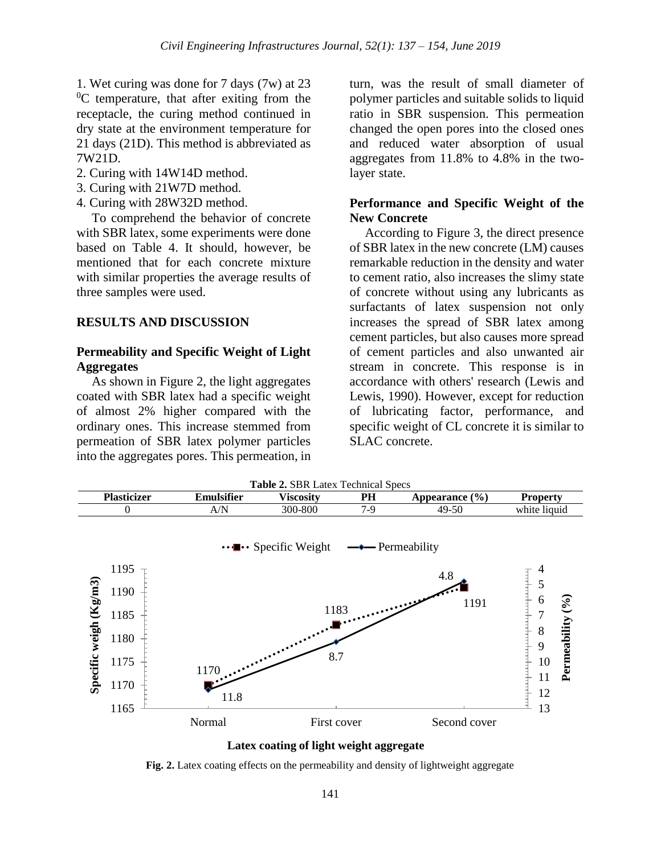1. Wet curing was done for 7 days (7w) at 23  ${}^{0}C$  temperature, that after exiting from the receptacle, the curing method continued in dry state at the environment temperature for 21 days (21D). This method is abbreviated as 7W21D.

- 2. Curing with 14W14D method.
- 3. Curing with 21W7D method.
- 4. Curing with 28W32D method.

To comprehend the behavior of concrete with SBR latex, some experiments were done based on Table 4. It should, however, be mentioned that for each concrete mixture with similar properties the average results of three samples were used.

### **RESULTS AND DISCUSSION**

## **Permeability and Specific Weight of Light Aggregates**

As shown in Figure 2, the light aggregates coated with SBR latex had a specific weight of almost 2% higher compared with the ordinary ones. This increase stemmed from permeation of SBR latex polymer particles into the aggregates pores. This permeation, in

turn, was the result of small diameter of polymer particles and suitable solids to liquid ratio in SBR suspension. This permeation changed the open pores into the closed ones and reduced water absorption of usual aggregates from 11.8% to 4.8% in the twolayer state.

## **Performance and Specific Weight of the New Concrete**

According to Figure 3, the direct presence of SBR latex in the new concrete (LM) causes remarkable reduction in the density and water to cement ratio, also increases the slimy state of concrete without using any lubricants as surfactants of latex suspension not only increases the spread of SBR latex among cement particles, but also causes more spread of cement particles and also unwanted air stream in concrete. This response is in accordance with others' research (Lewis and Lewis, 1990). However, except for reduction of lubricating factor, performance, and specific weight of CL concrete it is similar to SLAC concrete.





Fig. 2. Latex coating effects on the permeability and density of lightweight aggregate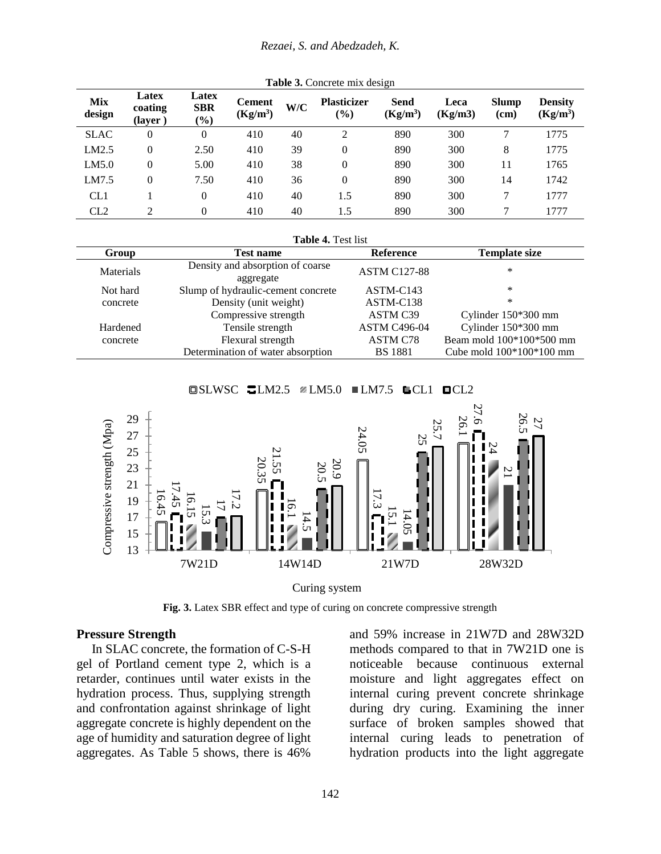#### *Rezaei, S. and Abedzadeh, K.*

| Mix<br>design | Latex<br>coating<br>(layer) | Latex<br><b>SBR</b><br>$(\%)$ | <b>Cement</b><br>$(Kg/m^3)$ | W/C | <b>Plasticizer</b><br>(0/0) | Send<br>$(Kg/m^3)$ | Leca<br>(Kg/m3) | <b>Slump</b><br>(cm) | <b>Density</b><br>$(Kg/m^3)$ |
|---------------|-----------------------------|-------------------------------|-----------------------------|-----|-----------------------------|--------------------|-----------------|----------------------|------------------------------|
| <b>SLAC</b>   | $\mathbf{0}$                | 0                             | 410                         | 40  | ↑                           | 890                | 300             | 7                    | 1775                         |
| LM2.5         | 0                           | 2.50                          | 410                         | 39  | 0                           | 890                | 300             | 8                    | 1775                         |
| LM5.0         | 0                           | 5.00                          | 410                         | 38  | 0                           | 890                | 300             | 11                   | 1765                         |
| LM7.5         | 0                           | 7.50                          | 410                         | 36  | 0                           | 890                | 300             | 14                   | 1742                         |
| CL1           |                             | 0                             | 410                         | 40  | 1.5                         | 890                | 300             | 7                    | 1777                         |
| CL2           |                             | 0                             | 410                         | 40  | 1.5                         | 890                | 300             |                      | 1777                         |

**Table 3.** Concrete mix design

| Table 4. Test list |                                                                         |                      |                            |  |  |  |  |
|--------------------|-------------------------------------------------------------------------|----------------------|----------------------------|--|--|--|--|
| Group              | <b>Test name</b>                                                        | <b>Reference</b>     | <b>Template size</b>       |  |  |  |  |
| Materials          | Density and absorption of coarse<br>aggregate                           | <b>ASTM C127-88</b>  | *                          |  |  |  |  |
| Not hard           | Slump of hydraulic-cement concrete<br>Density (unit weight)<br>concrete |                      | *                          |  |  |  |  |
|                    |                                                                         |                      | *                          |  |  |  |  |
|                    | Compressive strength                                                    | ASTM C <sub>39</sub> | Cylinder 150*300 mm        |  |  |  |  |
| Hardened           | Tensile strength                                                        |                      | Cylinder 150*300 mm        |  |  |  |  |
| concrete           | Flexural strength                                                       | ASTM C78             | Beam mold 100*100*500 mm   |  |  |  |  |
|                    | Determination of water absorption                                       | <b>BS</b> 1881       | Cube mold $100*100*100$ mm |  |  |  |  |

 $\Box$ SLWSC  $\Box$ LM2.5  $\Box$ LM5.0  $\Box$ LM7.5  $\Box$ CL1  $\Box$ CL2



Curing system

**Fig. 3.** Latex SBR effect and type of curing on concrete compressive strength

### **Pressure Strength**

In SLAC concrete, the formation of C-S-H gel of Portland cement type 2, which is a retarder, continues until water exists in the hydration process. Thus, supplying strength and confrontation against shrinkage of light aggregate concrete is highly dependent on the age of humidity and saturation degree of light aggregates. As Table 5 shows, there is 46%

and 59% increase in 21W7D and 28W32D methods compared to that in 7W21D one is noticeable because continuous external moisture and light aggregates effect on internal curing prevent concrete shrinkage during dry curing. Examining the inner surface of broken samples showed that internal curing leads to penetration of hydration products into the light aggregate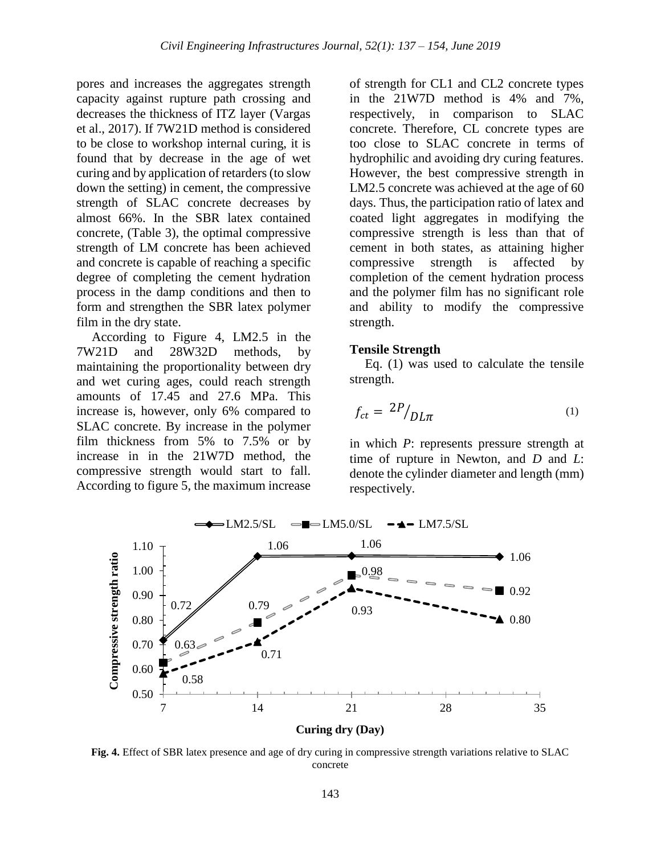pores and increases the aggregates strength capacity against rupture path crossing and decreases the thickness of ITZ layer (Vargas et al., 2017). If 7W21D method is considered to be close to workshop internal curing, it is found that by decrease in the age of wet curing and by application of retarders (to slow down the setting) in cement, the compressive strength of SLAC concrete decreases by almost 66%. In the SBR latex contained concrete, (Table 3), the optimal compressive strength of LM concrete has been achieved and concrete is capable of reaching a specific degree of completing the cement hydration process in the damp conditions and then to form and strengthen the SBR latex polymer film in the dry state.

According to Figure 4, LM2.5 in the 7W21D and 28W32D methods, by maintaining the proportionality between dry and wet curing ages, could reach strength amounts of 17.45 and 27.6 MPa. This increase is, however, only 6% compared to SLAC concrete. By increase in the polymer film thickness from 5% to 7.5% or by increase in in the 21W7D method, the compressive strength would start to fall. According to figure 5, the maximum increase

of strength for CL1 and CL2 concrete types in the 21W7D method is 4% and 7%, respectively, in comparison to SLAC concrete. Therefore, CL concrete types are too close to SLAC concrete in terms of hydrophilic and avoiding dry curing features. However, the best compressive strength in LM2.5 concrete was achieved at the age of 60 days. Thus, the participation ratio of latex and coated light aggregates in modifying the compressive strength is less than that of cement in both states, as attaining higher compressive strength is affected by completion of the cement hydration process and the polymer film has no significant role and ability to modify the compressive strength.

### **Tensile Strength**

Eq. (1) was used to calculate the tensile strength.

$$
f_{ct} = \left. \frac{2P}{DL\pi} \right| \tag{1}
$$

in which *P*: represents pressure strength at time of rupture in Newton, and *D* and *L*: denote the cylinder diameter and length (mm) respectively.



**Curing dry (Day)**

**Fig. 4.** Effect of SBR latex presence and age of dry curing in compressive strength variations relative to SLAC concrete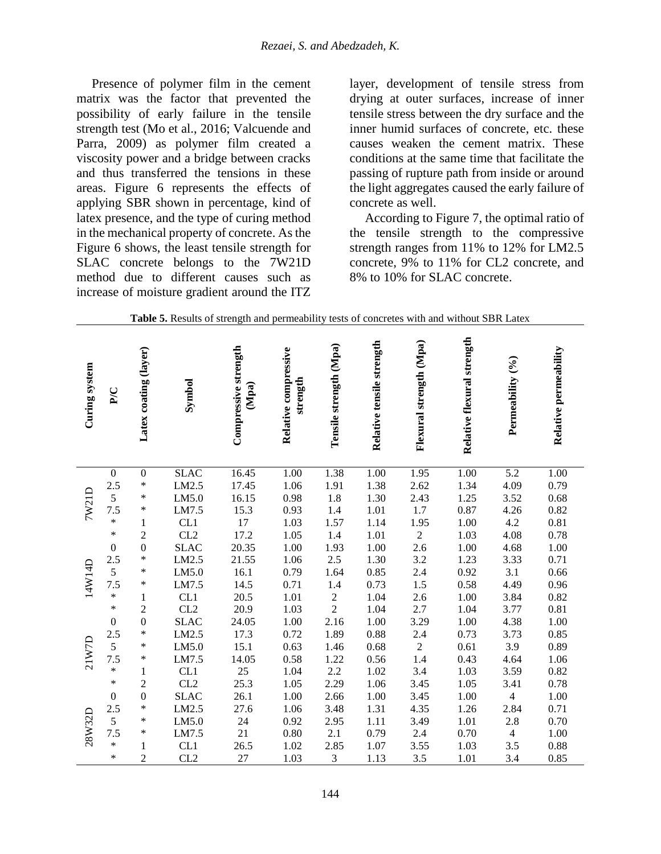Presence of polymer film in the cement matrix was the factor that prevented the possibility of early failure in the tensile strength test (Mo et al., 2016; Valcuende and Parra, 2009) as polymer film created a viscosity power and a bridge between cracks and thus transferred the tensions in these areas. Figure 6 represents the effects of applying SBR shown in percentage, kind of latex presence, and the type of curing method in the mechanical property of concrete. As the Figure 6 shows, the least tensile strength for SLAC concrete belongs to the 7W21D method due to different causes such as increase of moisture gradient around the ITZ

layer, development of tensile stress from drying at outer surfaces, increase of inner tensile stress between the dry surface and the inner humid surfaces of concrete, etc. these causes weaken the cement matrix. These conditions at the same time that facilitate the passing of rupture path from inside or around the light aggregates caused the early failure of concrete as well.

According to Figure 7, the optimal ratio of the tensile strength to the compressive strength ranges from 11% to 12% for LM2.5 concrete, 9% to 11% for CL2 concrete, and 8% to 10% for SLAC concrete.

| Curing system | P/C              | Latex coating (layer) | Symbol          | Compressive strength<br>(Mpa) | Relative compressive<br>strength | Tensile strength (Mpa) | Relative tensile strength | Flexural strength (Mpa) | Relative flexural strength | Permeability (%)         | Relative permeability |
|---------------|------------------|-----------------------|-----------------|-------------------------------|----------------------------------|------------------------|---------------------------|-------------------------|----------------------------|--------------------------|-----------------------|
|               | $\boldsymbol{0}$ | $\boldsymbol{0}$      | <b>SLAC</b>     | 16.45                         | 1.00                             | 1.38                   | 1.00                      | 1.95                    | 1.00                       | 5.2                      | 1.00                  |
|               | 2.5              | *                     | LM2.5           | 17.45                         | 1.06                             | 1.91                   | 1.38                      | 2.62                    | 1.34                       | 4.09                     | 0.79                  |
|               | 5                | $\ast$                | LM5.0           | 16.15                         | 0.98                             | $1.8\,$                | 1.30                      | 2.43                    | 1.25                       | 3.52                     | 0.68                  |
| <b>7W21D</b>  | 7.5              | $\ast$                | LM7.5           | 15.3                          | 0.93                             | 1.4                    | 1.01                      | $1.7\,$                 | $0.87\,$                   | 4.26                     | 0.82                  |
|               | $\ast$           | $\mathbf{1}$          | CL1             | $17\,$                        | 1.03                             | 1.57                   | 1.14                      | 1.95                    | $1.00\,$                   | 4.2                      | 0.81                  |
|               | *                | $\overline{c}$        | CL2             | 17.2                          | 1.05                             | 1.4                    | 1.01                      | $\overline{c}$          | 1.03                       | 4.08                     | 0.78                  |
|               | $\mathbf{0}$     | $\boldsymbol{0}$      | <b>SLAC</b>     | 20.35                         | 1.00                             | 1.93                   | 1.00                      | 2.6                     | 1.00                       | 4.68                     | $1.00\,$              |
|               | 2.5              | $\ast$                | LM2.5           | 21.55                         | 1.06                             | 2.5                    | 1.30                      | 3.2                     | 1.23                       | 3.33                     | 0.71                  |
| 14W14D        | 5                | $\ast$                | LM5.0           | 16.1                          | 0.79                             | 1.64                   | 0.85                      | 2.4                     | 0.92                       | 3.1                      | 0.66                  |
|               | 7.5              | $\ast$                | LM7.5           | 14.5                          | 0.71                             | 1.4                    | 0.73                      | 1.5                     | 0.58                       | 4.49                     | 0.96                  |
|               | *                | $\mathbf{1}$          | CL1             | 20.5                          | 1.01                             | $\frac{2}{2}$          | 1.04                      | 2.6                     | $1.00\,$                   | 3.84                     | 0.82                  |
|               | *                | $\sqrt{2}$            | CL2             | 20.9                          | 1.03                             |                        | 1.04                      | 2.7                     | 1.04                       | 3.77                     | 0.81                  |
|               | $\mathbf{0}$     | $\boldsymbol{0}$      | <b>SLAC</b>     | 24.05                         | 1.00                             | 2.16                   | 1.00                      | 3.29                    | 1.00                       | 4.38                     | 1.00                  |
|               | 2.5              | $\ast$                | LM2.5           | 17.3                          | 0.72                             | 1.89                   | $0.88\,$                  | 2.4                     | 0.73                       | 3.73                     | 0.85                  |
| 21W7D         | 5                | $\ast$                | LM5.0           | 15.1                          | 0.63                             | 1.46                   | 0.68                      | $\frac{2}{1.4}$         | 0.61                       | 3.9                      | 0.89                  |
|               | 7.5              | $\ast$                | LM7.5           | 14.05                         | 0.58                             | 1.22                   | 0.56                      |                         | 0.43                       | 4.64                     | 1.06                  |
|               | $\ast$           | $\,1$                 | CL1             | 25                            | 1.04                             | 2.2                    | $1.02\,$                  | 3.4                     | 1.03                       | 3.59                     | 0.82                  |
|               | *                | $\overline{c}$        | CL <sub>2</sub> | 25.3                          | $1.05\,$                         | 2.29                   | 1.06                      | 3.45                    | $1.05\,$                   | 3.41                     | 0.78                  |
| 28W32D        | $\boldsymbol{0}$ | $\boldsymbol{0}$      | <b>SLAC</b>     | 26.1                          | $1.00\,$                         | 2.66                   | 1.00                      | 3.45                    | 1.00                       | $\overline{4}$           | $1.00\,$              |
|               | 2.5              | $\ast$                | LM2.5           | 27.6                          | 1.06                             | 3.48                   | 1.31                      | 4.35                    | 1.26                       | 2.84                     | 0.71                  |
|               | 5                | $\ast$                | LM5.0           | 24                            | 0.92                             | 2.95                   | 1.11                      | 3.49                    | 1.01                       | 2.8                      | 0.70                  |
|               | 7.5              | $\ast$                | LM7.5           | 21                            | 0.80                             | 2.1                    | 0.79                      | 2.4                     | 0.70                       | $\overline{\mathcal{L}}$ | $1.00\,$              |
|               | $\ast$           | $\mathbf{1}$          | CL1             | 26.5                          | 1.02                             | 2.85                   | 1.07                      | 3.55                    | 1.03                       | 3.5                      | 0.88                  |
|               | $\ast$           | $\overline{2}$        | CL2             | 27                            | 1.03                             | 3                      | 1.13                      | 3.5                     | 1.01                       | 3.4                      | 0.85                  |

**Table 5.** Results of strength and permeability tests of concretes with and without SBR Latex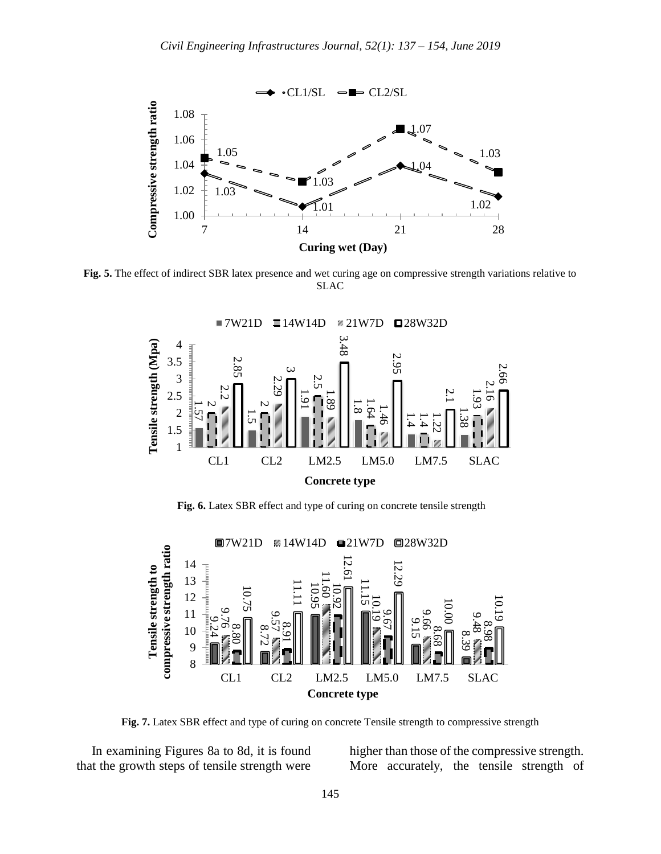

**Fig. 5.** The effect of indirect SBR latex presence and wet curing age on compressive strength variations relative to SLAC



**Fig. 6.** Latex SBR effect and type of curing on concrete tensile strength



**Fig. 7.** Latex SBR effect and type of curing on concrete Tensile strength to compressive strength

In examining Figures 8a to 8d, it is found that the growth steps of tensile strength were higher than those of the compressive strength. More accurately, the tensile strength of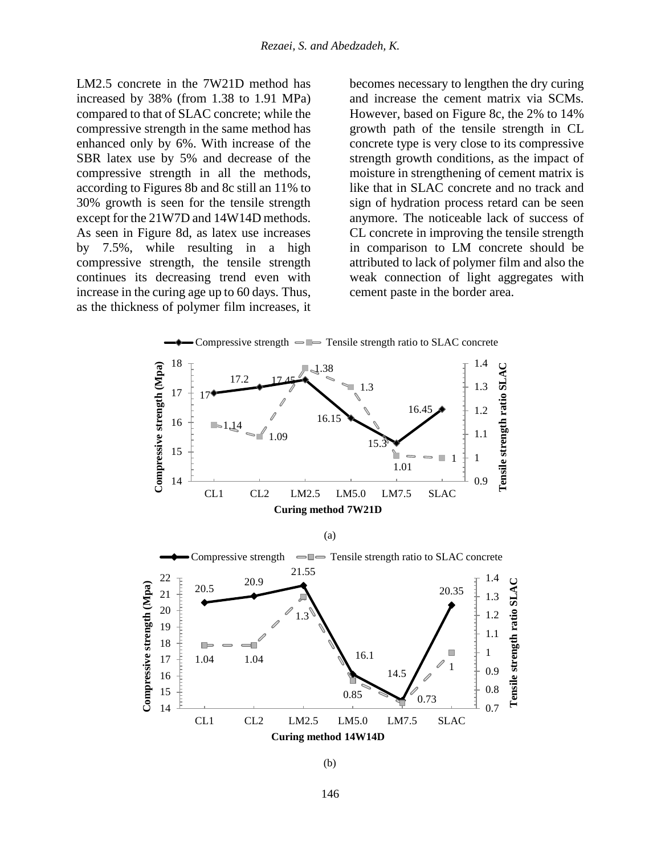LM2.5 concrete in the 7W21D method has increased by 38% (from 1.38 to 1.91 MPa) compared to that of SLAC concrete; while the compressive strength in the same method has enhanced only by 6%. With increase of the SBR latex use by 5% and decrease of the compressive strength in all the methods, according to Figures 8b and 8c still an 11% to 30% growth is seen for the tensile strength except for the 21W7D and 14W14D methods. As seen in Figure 8d, as latex use increases by 7.5%, while resulting in a high compressive strength, the tensile strength continues its decreasing trend even with increase in the curing age up to 60 days. Thus, as the thickness of polymer film increases, it

becomes necessary to lengthen the dry curing and increase the cement matrix via SCMs. However, based on Figure 8c, the 2% to 14% growth path of the tensile strength in CL concrete type is very close to its compressive strength growth conditions, as the impact of moisture in strengthening of cement matrix is like that in SLAC concrete and no track and sign of hydration process retard can be seen anymore. The noticeable lack of success of CL concrete in improving the tensile strength in comparison to LM concrete should be attributed to lack of polymer film and also the weak connection of light aggregates with cement paste in the border area.



146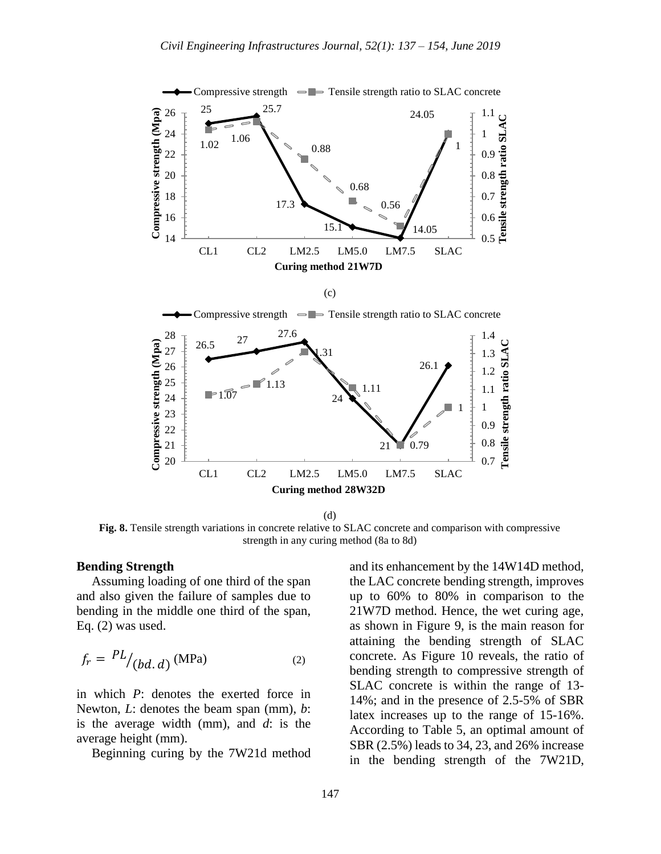

**Fig. 8.** Tensile strength variations in concrete relative to SLAC concrete and comparison with compressive strength in any curing method (8a to 8d)

#### **Bending Strength**

Assuming loading of one third of the span and also given the failure of samples due to bending in the middle one third of the span, Eq. (2) was used.

$$
f_r = \frac{PL}{(bd.d)} \text{ (MPa)} \tag{2}
$$

in which *P*: denotes the exerted force in Newton, *L*: denotes the beam span (mm), *b*: is the average width (mm), and *d*: is the average height (mm).

Beginning curing by the 7W21d method

and its enhancement by the 14W14D method, the LAC concrete bending strength, improves up to 60% to 80% in comparison to the 21W7D method. Hence, the wet curing age, as shown in Figure 9, is the main reason for attaining the bending strength of SLAC concrete. As Figure 10 reveals, the ratio of bending strength to compressive strength of SLAC concrete is within the range of 13- 14%; and in the presence of 2.5-5% of SBR latex increases up to the range of 15-16%. According to Table 5, an optimal amount of SBR (2.5%) leads to 34, 23, and 26% increase in the bending strength of the 7W21D,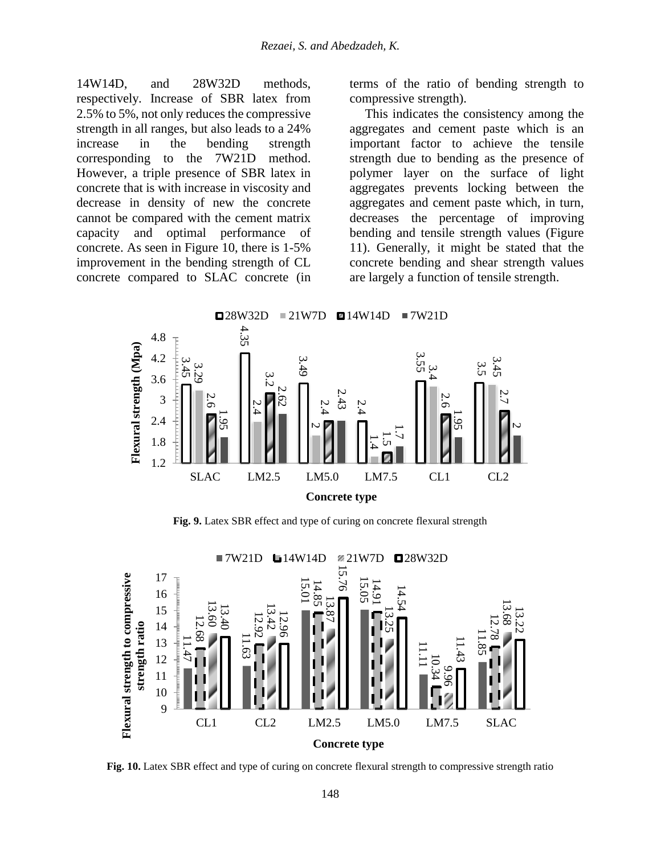14W14D, and 28W32D methods, respectively. Increase of SBR latex from 2.5% to 5%, not only reduces the compressive strength in all ranges, but also leads to a 24% increase in the bending strength corresponding to the 7W21D method. However, a triple presence of SBR latex in concrete that is with increase in viscosity and decrease in density of new the concrete cannot be compared with the cement matrix capacity and optimal performance of concrete. As seen in Figure 10, there is 1-5% improvement in the bending strength of CL concrete compared to SLAC concrete (in

terms of the ratio of bending strength to compressive strength).

This indicates the consistency among the aggregates and cement paste which is an important factor to achieve the tensile strength due to bending as the presence of polymer layer on the surface of light aggregates prevents locking between the aggregates and cement paste which, in turn, decreases the percentage of improving bending and tensile strength values (Figure 11). Generally, it might be stated that the concrete bending and shear strength values are largely a function of tensile strength.



**Fig. 9.** Latex SBR effect and type of curing on concrete flexural strength

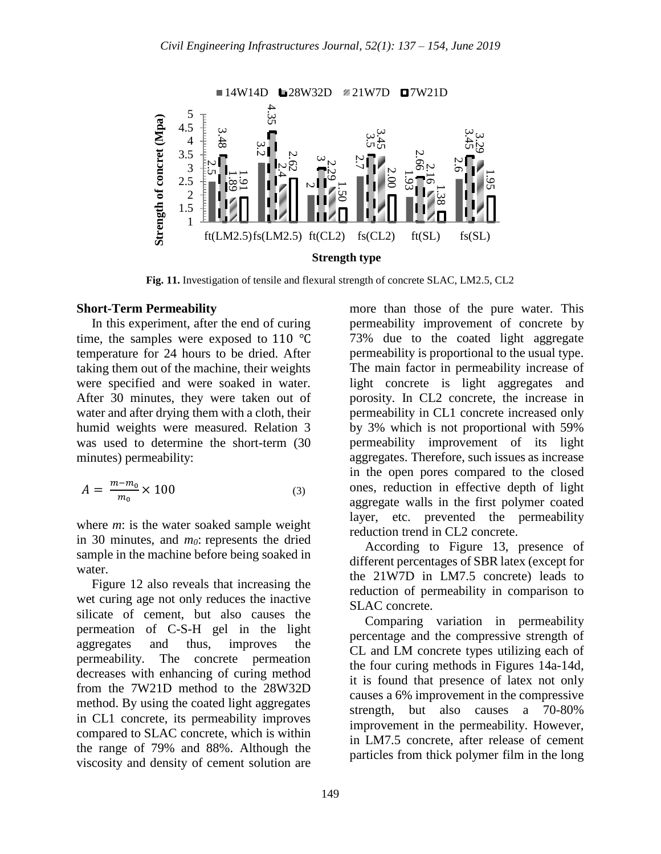

**Fig. 11.** Investigation of tensile and flexural strength of concrete SLAC, LM2.5, CL2

#### **Short-Term Permeability**

In this experiment, after the end of curing time, the samples were exposed to 110 ℃ temperature for 24 hours to be dried. After taking them out of the machine, their weights were specified and were soaked in water. After 30 minutes, they were taken out of water and after drying them with a cloth, their humid weights were measured. Relation 3 was used to determine the short-term (30 minutes) permeability:

$$
A = \frac{m - m_0}{m_0} \times 100
$$
 (3)

where *m*: is the water soaked sample weight in 30 minutes, and *m0*: represents the dried sample in the machine before being soaked in water.

Figure 12 also reveals that increasing the wet curing age not only reduces the inactive silicate of cement, but also causes the permeation of C-S-H gel in the light aggregates and thus, improves the permeability. The concrete permeation decreases with enhancing of curing method from the 7W21D method to the 28W32D method. By using the coated light aggregates in CL1 concrete, its permeability improves compared to SLAC concrete, which is within the range of 79% and 88%. Although the viscosity and density of cement solution are

more than those of the pure water. This permeability improvement of concrete by 73% due to the coated light aggregate permeability is proportional to the usual type. The main factor in permeability increase of light concrete is light aggregates and porosity. In CL2 concrete, the increase in permeability in CL1 concrete increased only by 3% which is not proportional with 59% permeability improvement of its light aggregates. Therefore, such issues as increase in the open pores compared to the closed ones, reduction in effective depth of light aggregate walls in the first polymer coated layer, etc. prevented the permeability reduction trend in CL2 concrete.

According to Figure 13, presence of different percentages of SBR latex (except for the 21W7D in LM7.5 concrete) leads to reduction of permeability in comparison to SLAC concrete.

Comparing variation in permeability percentage and the compressive strength of CL and LM concrete types utilizing each of the four curing methods in Figures 14a-14d, it is found that presence of latex not only causes a 6% improvement in the compressive strength, but also causes a 70-80% improvement in the permeability. However, in LM7.5 concrete, after release of cement particles from thick polymer film in the long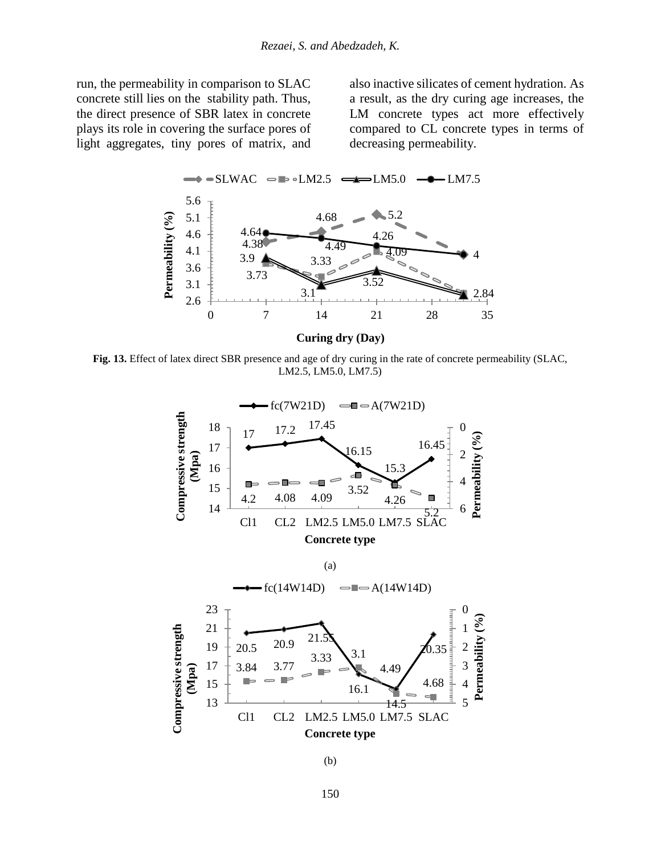run, the permeability in comparison to SLAC concrete still lies on the stability path. Thus, the direct presence of SBR latex in concrete plays its role in covering the surface pores of light aggregates, tiny pores of matrix, and

also inactive silicates of cement hydration. As a result, as the dry curing age increases, the LM concrete types act more effectively compared to CL concrete types in terms of decreasing permeability.



**Fig. 13.** Effect of latex direct SBR presence and age of dry curing in the rate of concrete permeability (SLAC, LM2.5, LM5.0, LM7.5)



(b)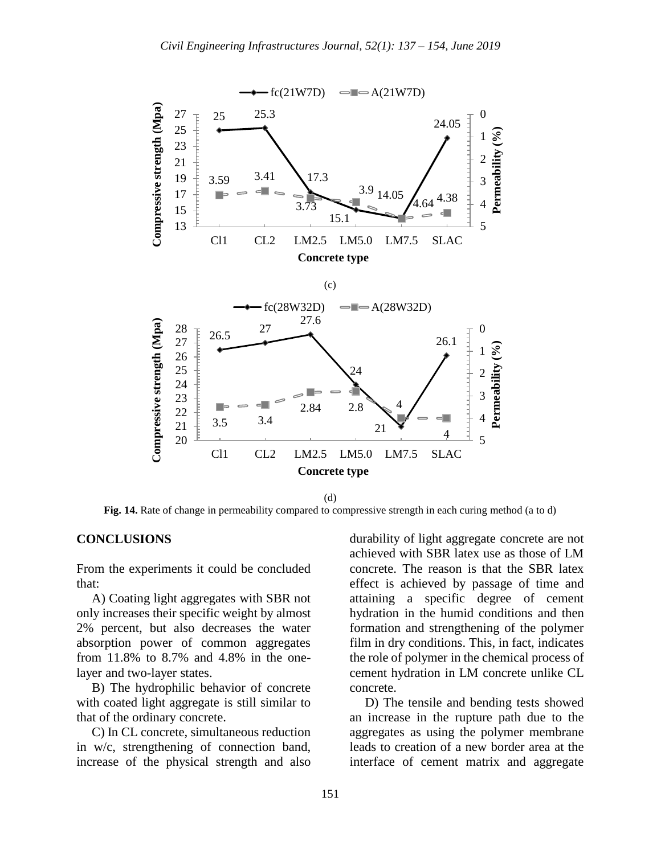

**Fig. 14.** Rate of change in permeability compared to compressive strength in each curing method (a to d)

### **CONCLUSIONS**

From the experiments it could be concluded that:

A) Coating light aggregates with SBR not only increases their specific weight by almost 2% percent, but also decreases the water absorption power of common aggregates from 11.8% to 8.7% and 4.8% in the onelayer and two-layer states.

B) The hydrophilic behavior of concrete with coated light aggregate is still similar to that of the ordinary concrete.

C) In CL concrete, simultaneous reduction in w/c, strengthening of connection band, increase of the physical strength and also durability of light aggregate concrete are not achieved with SBR latex use as those of LM concrete. The reason is that the SBR latex effect is achieved by passage of time and attaining a specific degree of cement hydration in the humid conditions and then formation and strengthening of the polymer film in dry conditions. This, in fact, indicates the role of polymer in the chemical process of cement hydration in LM concrete unlike CL concrete.

D) The tensile and bending tests showed an increase in the rupture path due to the aggregates as using the polymer membrane leads to creation of a new border area at the interface of cement matrix and aggregate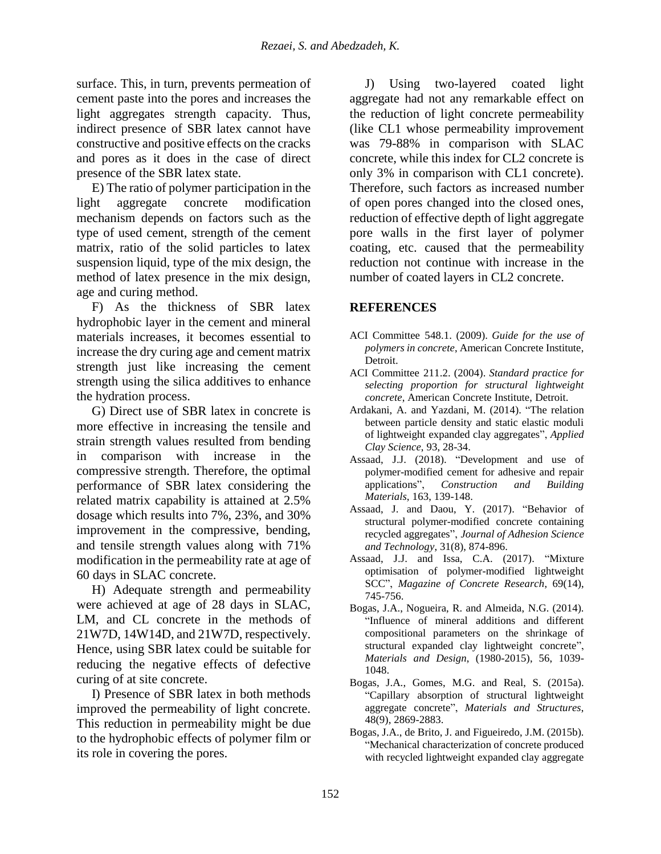surface. This, in turn, prevents permeation of cement paste into the pores and increases the light aggregates strength capacity. Thus, indirect presence of SBR latex cannot have constructive and positive effects on the cracks and pores as it does in the case of direct presence of the SBR latex state.

E) The ratio of polymer participation in the light aggregate concrete modification mechanism depends on factors such as the type of used cement, strength of the cement matrix, ratio of the solid particles to latex suspension liquid, type of the mix design, the method of latex presence in the mix design, age and curing method.

F) As the thickness of SBR latex hydrophobic layer in the cement and mineral materials increases, it becomes essential to increase the dry curing age and cement matrix strength just like increasing the cement strength using the silica additives to enhance the hydration process.

G) Direct use of SBR latex in concrete is more effective in increasing the tensile and strain strength values resulted from bending in comparison with increase in the compressive strength. Therefore, the optimal performance of SBR latex considering the related matrix capability is attained at 2.5% dosage which results into 7%, 23%, and 30% improvement in the compressive, bending, and tensile strength values along with 71% modification in the permeability rate at age of 60 days in SLAC concrete.

H) Adequate strength and permeability were achieved at age of 28 days in SLAC, LM, and CL concrete in the methods of 21W7D, 14W14D, and 21W7D, respectively. Hence, using SBR latex could be suitable for reducing the negative effects of defective curing of at site concrete.

I) Presence of SBR latex in both methods improved the permeability of light concrete. This reduction in permeability might be due to the hydrophobic effects of polymer film or its role in covering the pores.

J) Using two-layered coated light aggregate had not any remarkable effect on the reduction of light concrete permeability (like CL1 whose permeability improvement was 79-88% in comparison with SLAC concrete, while this index for CL2 concrete is only 3% in comparison with CL1 concrete). Therefore, such factors as increased number of open pores changed into the closed ones, reduction of effective depth of light aggregate pore walls in the first layer of polymer coating, etc. caused that the permeability reduction not continue with increase in the number of coated layers in CL2 concrete.

# **REFERENCES**

- ACI Committee 548.1. (2009). *Guide for the use of polymers in concrete*, American Concrete Institute, Detroit.
- ACI Committee 211.2. (2004). *Standard practice for selecting proportion for structural lightweight concrete*, American Concrete Institute, Detroit.
- Ardakani, A. and Yazdani, M. (2014). "The relation between particle density and static elastic moduli of lightweight expanded clay aggregates", *Applied Clay Science*, 93, 28-34.
- Assaad, J.J. (2018). "Development and use of polymer-modified cement for adhesive and repair applications", *Construction and Building Materials*, 163, 139-148.
- Assaad, J. and Daou, Y. (2017). "Behavior of structural polymer-modified concrete containing recycled aggregates", *Journal of Adhesion Science and Technology*, 31(8), 874-896.
- Assaad, J.J. and Issa, C.A. (2017). "Mixture optimisation of polymer-modified lightweight SCC", *Magazine of Concrete Research*, 69(14), 745-756.
- Bogas, J.A., Nogueira, R. and Almeida, N.G. (2014). "Influence of mineral additions and different compositional parameters on the shrinkage of structural expanded clay lightweight concrete", *Materials and Design*, (1980-2015), 56, 1039- 1048.
- Bogas, J.A., Gomes, M.G. and Real, S. (2015a). "Capillary absorption of structural lightweight aggregate concrete", *Materials and Structures*, 48(9), 2869-2883.
- Bogas, J.A., de Brito, J. and Figueiredo, J.M. (2015b). "Mechanical characterization of concrete produced with recycled lightweight expanded clay aggregate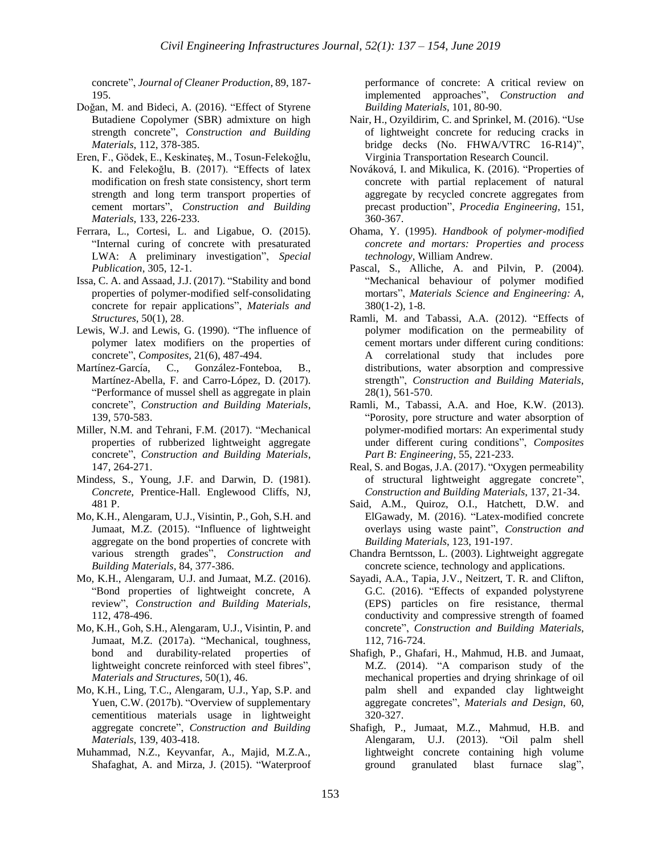concrete", *Journal of Cleaner Production*, 89, 187- 195.

- Doğan, M. and Bideci, A. (2016). "Effect of Styrene Butadiene Copolymer (SBR) admixture on high strength concrete", *Construction and Building Materials*, 112, 378-385.
- Eren, F., Gödek, E., Keskinateş, M., Tosun-Felekoğlu, K. and Felekoğlu, B. (2017). "Effects of latex modification on fresh state consistency, short term strength and long term transport properties of cement mortars", *Construction and Building Materials*, 133, 226-233.
- Ferrara, L., Cortesi, L. and Ligabue, O. (2015). "Internal curing of concrete with presaturated LWA: A preliminary investigation", *Special Publication*, 305, 12-1.
- Issa, C. A. and Assaad, J.J. (2017). "Stability and bond properties of polymer-modified self-consolidating concrete for repair applications", *Materials and Structures*, 50(1), 28.
- Lewis, W.J. and Lewis, G. (1990). "The influence of polymer latex modifiers on the properties of concrete", *Composites*, 21(6), 487-494.
- Martínez-García, C., González-Fonteboa, B., Martínez-Abella, F. and Carro-López, D. (2017). "Performance of mussel shell as aggregate in plain concrete", *Construction and Building Materials*, 139, 570-583.
- Miller, N.M. and Tehrani, F.M. (2017). "Mechanical properties of rubberized lightweight aggregate concrete", *Construction and Building Materials*, 147, 264-271.
- Mindess, S., Young, J.F. and Darwin, D. (1981). *Concrete*, Prentice-Hall. Englewood Cliffs, NJ, 481 P.
- Mo, K.H., Alengaram, U.J., Visintin, P., Goh, S.H. and Jumaat, M.Z. (2015). "Influence of lightweight aggregate on the bond properties of concrete with various strength grades", *Construction and Building Materials*, 84, 377-386.
- Mo, K.H., Alengaram, U.J. and Jumaat, M.Z. (2016). "Bond properties of lightweight concrete, A review", *Construction and Building Materials*, 112, 478-496.
- Mo, K.H., Goh, S.H., Alengaram, U.J., Visintin, P. and Jumaat, M.Z. (2017a). "Mechanical, toughness, bond and durability-related properties of lightweight concrete reinforced with steel fibres", *Materials and Structures*, 50(1), 46.
- Mo, K.H., Ling, T.C., Alengaram, U.J., Yap, S.P. and Yuen, C.W. (2017b). "Overview of supplementary cementitious materials usage in lightweight aggregate concrete", *Construction and Building Materials*, 139, 403-418.
- Muhammad, N.Z., Keyvanfar, A., Majid, M.Z.A., Shafaghat, A. and Mirza, J. (2015). "Waterproof

performance of concrete: A critical review on implemented approaches", *Construction and Building Materials*, 101, 80-90.

- Nair, H., Ozyildirim, C. and Sprinkel, M. (2016). "Use of lightweight concrete for reducing cracks in bridge decks (No. FHWA/VTRC 16-R14)", Virginia Transportation Research Council.
- Nováková, I. and Mikulica, K. (2016). "Properties of concrete with partial replacement of natural aggregate by recycled concrete aggregates from precast production", *Procedia Engineering*, 151, 360-367.
- Ohama, Y. (1995). *Handbook of polymer-modified concrete and mortars: Properties and process technology*, William Andrew.
- Pascal, S., Alliche, A. and Pilvin, P. (2004). "Mechanical behaviour of polymer modified mortars", *Materials Science and Engineering: A*, 380(1-2), 1-8.
- Ramli, M. and Tabassi, A.A. (2012). "Effects of polymer modification on the permeability of cement mortars under different curing conditions: A correlational study that includes pore distributions, water absorption and compressive strength", *Construction and Building Materials*, 28(1), 561-570.
- Ramli, M., Tabassi, A.A. and Hoe, K.W. (2013). "Porosity, pore structure and water absorption of polymer-modified mortars: An experimental study under different curing conditions", *Composites Part B: Engineering*, 55, 221-233.
- Real, S. and Bogas, J.A. (2017). "Oxygen permeability of structural lightweight aggregate concrete", *Construction and Building Materials*, 137, 21-34.
- Said, A.M., Quiroz, O.I., Hatchett, D.W. and ElGawady, M. (2016). "Latex-modified concrete overlays using waste paint", *Construction and Building Materials*, 123, 191-197.
- Chandra Berntsson, L. (2003). Lightweight aggregate concrete science, technology and applications.
- Sayadi, A.A., Tapia, J.V., Neitzert, T. R. and Clifton, G.C. (2016). "Effects of expanded polystyrene (EPS) particles on fire resistance, thermal conductivity and compressive strength of foamed concrete", *Construction and Building Materials*, 112, 716-724.
- Shafigh, P., Ghafari, H., Mahmud, H.B. and Jumaat, M.Z. (2014). "A comparison study of the mechanical properties and drying shrinkage of oil palm shell and expanded clay lightweight aggregate concretes", *Materials and Design*, 60, 320-327.
- Shafigh, P., Jumaat, M.Z., Mahmud, H.B. and Alengaram, U.J. (2013). "Oil palm shell lightweight concrete containing high volume ground granulated blast furnace slag",